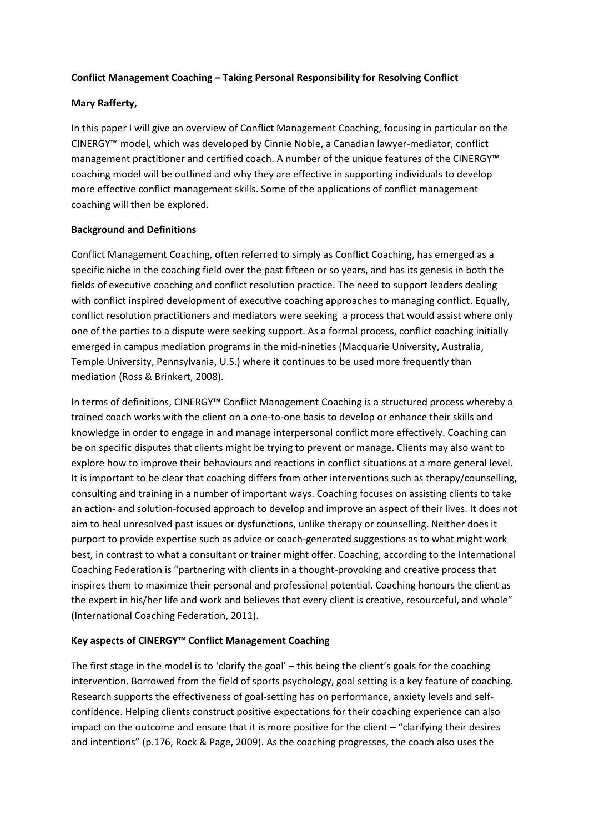## **Conflict Management Coaching – Taking Personal Responsibility for Resolving Conflict**

### **Mary Rafferty,**

In this paper I will give an overview of Conflict Management Coaching, focusing in particular on the CINERGY™ model, which was developed by Cinnie Noble, a Canadian lawyer-mediator, conflict management practitioner and certified coach. A number of the unique features of the CINERGY™ coaching model will be outlined and why they are effective in supporting individuals to develop more effective conflict management skills. Some of the applications of conflict management coaching will then be explored.

### **Background and Definitions**

Conflict Management Coaching, often referred to simply as Conflict Coaching, has emerged as a specific niche in the coaching field over the past fifteen or so years, and has its genesis in both the fields of executive coaching and conflict resolution practice. The need to support leaders dealing with conflict inspired development of executive coaching approaches to managing conflict. Equally, conflict resolution practitioners and mediators were seeking a process that would assist where only one of the parties to a dispute were seeking support. As a formal process, conflict coaching initially emerged in campus mediation programs in the mid-nineties (Macquarie University, Australia, Temple University, Pennsylvania, U.S.) where it continues to be used more frequently than mediation (Ross & Brinkert, 2008).

In terms of definitions, CINERGY™ Conflict Management Coaching is a structured process whereby a trained coach works with the client on a one-to-one basis to develop or enhance their skills and knowledge in order to engage in and manage interpersonal conflict more effectively. Coaching can be on specific disputes that clients might be trying to prevent or manage. Clients may also want to explore how to improve their behaviours and reactions in conflict situations at a more general level. It is important to be clear that coaching differs from other interventions such as therapy/counselling, consulting and training in a number of important ways. Coaching focuses on assisting clients to take an action- and solution-focused approach to develop and improve an aspect of their lives. It does not aim to heal unresolved past issues or dysfunctions, unlike therapy or counselling. Neither does it purport to provide expertise such as advice or coach-generated suggestions as to what might work best, in contrast to what a consultant or trainer might offer. Coaching, according to the International Coaching Federation is "partnering with clients in a thought-provoking and creative process that inspires them to maximize their personal and professional potential. Coaching honours the client as the expert in his/her life and work and believes that every client is creative, resourceful, and whole" (International Coaching Federation, 2011).

# **Key aspects of CINERGY™ Conflict Management Coaching**

The first stage in the model is to 'clarify the goal' – this being the client's goals for the coaching intervention. Borrowed from the field of sports psychology, goal setting is a key feature of coaching. Research supports the effectiveness of goal-setting has on performance, anxiety levels and selfconfidence. Helping clients construct positive expectations for their coaching experience can also impact on the outcome and ensure that it is more positive for the client – "clarifying their desires and intentions" (p.176, Rock & Page, 2009). As the coaching progresses, the coach also uses the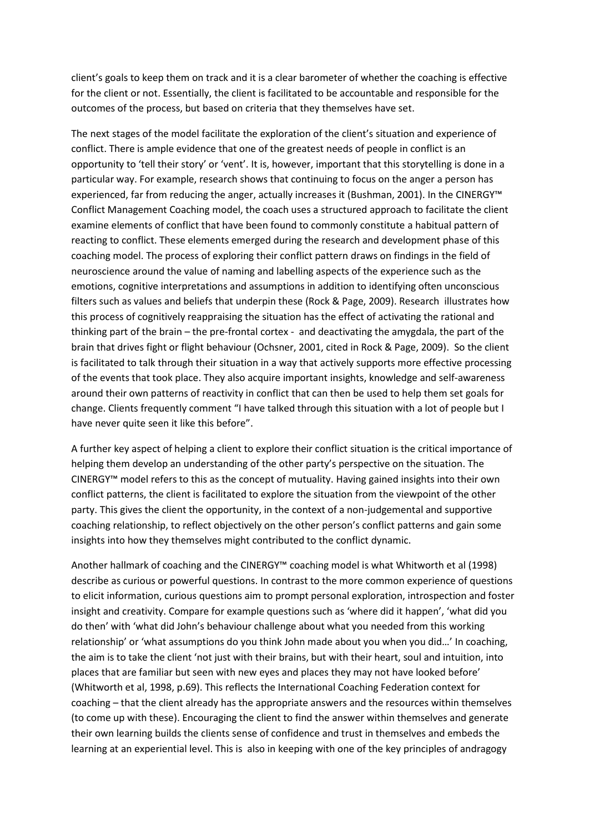client's goals to keep them on track and it is a clear barometer of whether the coaching is effective for the client or not. Essentially, the client is facilitated to be accountable and responsible for the outcomes of the process, but based on criteria that they themselves have set.

The next stages of the model facilitate the exploration of the client's situation and experience of conflict. There is ample evidence that one of the greatest needs of people in conflict is an opportunity to 'tell their story' or 'vent'. It is, however, important that this storytelling is done in a particular way. For example, research shows that continuing to focus on the anger a person has experienced, far from reducing the anger, actually increases it (Bushman, 2001). In the CINERGY™ Conflict Management Coaching model, the coach uses a structured approach to facilitate the client examine elements of conflict that have been found to commonly constitute a habitual pattern of reacting to conflict. These elements emerged during the research and development phase of this coaching model. The process of exploring their conflict pattern draws on findings in the field of neuroscience around the value of naming and labelling aspects of the experience such as the emotions, cognitive interpretations and assumptions in addition to identifying often unconscious filters such as values and beliefs that underpin these (Rock & Page, 2009). Research illustrates how this process of cognitively reappraising the situation has the effect of activating the rational and thinking part of the brain – the pre-frontal cortex - and deactivating the amygdala, the part of the brain that drives fight or flight behaviour (Ochsner, 2001, cited in Rock & Page, 2009). So the client is facilitated to talk through their situation in a way that actively supports more effective processing of the events that took place. They also acquire important insights, knowledge and self-awareness around their own patterns of reactivity in conflict that can then be used to help them set goals for change. Clients frequently comment "I have talked through this situation with a lot of people but I have never quite seen it like this before".

A further key aspect of helping a client to explore their conflict situation is the critical importance of helping them develop an understanding of the other party's perspective on the situation. The CINERGY™ model refers to this as the concept of mutuality. Having gained insights into their own conflict patterns, the client is facilitated to explore the situation from the viewpoint of the other party. This gives the client the opportunity, in the context of a non-judgemental and supportive coaching relationship, to reflect objectively on the other person's conflict patterns and gain some insights into how they themselves might contributed to the conflict dynamic.

Another hallmark of coaching and the CINERGY™ coaching model is what Whitworth et al (1998) describe as curious or powerful questions. In contrast to the more common experience of questions to elicit information, curious questions aim to prompt personal exploration, introspection and foster insight and creativity. Compare for example questions such as 'where did it happen', 'what did you do then' with 'what did John's behaviour challenge about what you needed from this working relationship' or 'what assumptions do you think John made about you when you did…' In coaching, the aim is to take the client 'not just with their brains, but with their heart, soul and intuition, into places that are familiar but seen with new eyes and places they may not have looked before' (Whitworth et al, 1998, p.69). This reflects the International Coaching Federation context for coaching – that the client already has the appropriate answers and the resources within themselves (to come up with these). Encouraging the client to find the answer within themselves and generate their own learning builds the clients sense of confidence and trust in themselves and embeds the learning at an experiential level. This is also in keeping with one of the key principles of andragogy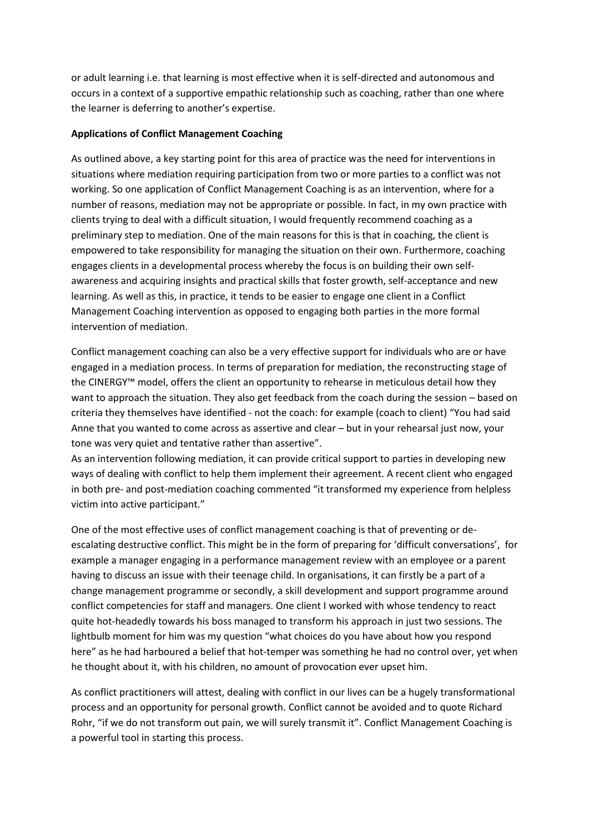or adult learning i.e. that learning is most effective when it is self-directed and autonomous and occurs in a context of a supportive empathic relationship such as coaching, rather than one where the learner is deferring to another's expertise.

## **Applications of Conflict Management Coaching**

As outlined above, a key starting point for this area of practice was the need for interventions in situations where mediation requiring participation from two or more parties to a conflict was not working. So one application of Conflict Management Coaching is as an intervention, where for a number of reasons, mediation may not be appropriate or possible. In fact, in my own practice with clients trying to deal with a difficult situation, I would frequently recommend coaching as a preliminary step to mediation. One of the main reasons for this is that in coaching, the client is empowered to take responsibility for managing the situation on their own. Furthermore, coaching engages clients in a developmental process whereby the focus is on building their own selfawareness and acquiring insights and practical skills that foster growth, self-acceptance and new learning. As well as this, in practice, it tends to be easier to engage one client in a Conflict Management Coaching intervention as opposed to engaging both parties in the more formal intervention of mediation.

Conflict management coaching can also be a very effective support for individuals who are or have engaged in a mediation process. In terms of preparation for mediation, the reconstructing stage of the CINERGY™ model, offers the client an opportunity to rehearse in meticulous detail how they want to approach the situation. They also get feedback from the coach during the session – based on criteria they themselves have identified - not the coach: for example (coach to client) "You had said Anne that you wanted to come across as assertive and clear – but in your rehearsal just now, your tone was very quiet and tentative rather than assertive".

As an intervention following mediation, it can provide critical support to parties in developing new ways of dealing with conflict to help them implement their agreement. A recent client who engaged in both pre- and post-mediation coaching commented "it transformed my experience from helpless victim into active participant."

One of the most effective uses of conflict management coaching is that of preventing or deescalating destructive conflict. This might be in the form of preparing for 'difficult conversations', for example a manager engaging in a performance management review with an employee or a parent having to discuss an issue with their teenage child. In organisations, it can firstly be a part of a change management programme or secondly, a skill development and support programme around conflict competencies for staff and managers. One client I worked with whose tendency to react quite hot-headedly towards his boss managed to transform his approach in just two sessions. The lightbulb moment for him was my question "what choices do you have about how you respond here" as he had harboured a belief that hot-temper was something he had no control over, yet when he thought about it, with his children, no amount of provocation ever upset him.

As conflict practitioners will attest, dealing with conflict in our lives can be a hugely transformational process and an opportunity for personal growth. Conflict cannot be avoided and to quote Richard Rohr, "if we do not transform out pain, we will surely transmit it". Conflict Management Coaching is a powerful tool in starting this process.